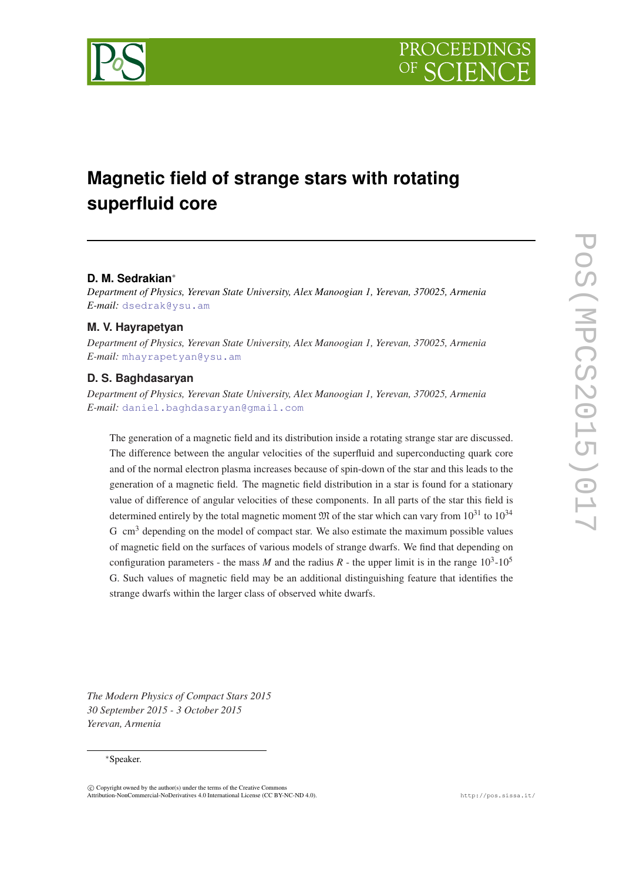

# **Magnetic field of strange stars with rotating superfluid core**

## **D. M. Sedrakian**<sup>∗</sup>

*Department of Physics, Yerevan State University, Alex Manoogian 1, Yerevan, 370025, Armenia E-mail:* [dsedrak@ysu.am](mailto:dsedrak@ysu.am)

## **M. V. Hayrapetyan**

*Department of Physics, Yerevan State University, Alex Manoogian 1, Yerevan, 370025, Armenia E-mail:* [mhayrapetyan@ysu.am](mailto:mhayrapetyan@ysu.am)

## **D. S. Baghdasaryan**

*Department of Physics, Yerevan State University, Alex Manoogian 1, Yerevan, 370025, Armenia E-mail:* [daniel.baghdasaryan@gmail.com](mailto:daniel.baghdasaryan@gmail.com)

The generation of a magnetic field and its distribution inside a rotating strange star are discussed. The difference between the angular velocities of the superfluid and superconducting quark core and of the normal electron plasma increases because of spin-down of the star and this leads to the generation of a magnetic field. The magnetic field distribution in a star is found for a stationary value of difference of angular velocities of these components. In all parts of the star this field is determined entirely by the total magnetic moment  $\mathfrak{M}$  of the star which can vary from  $10^{31}$  to  $10^{34}$ G  $\text{cm}^3$  depending on the model of compact star. We also estimate the maximum possible values of magnetic field on the surfaces of various models of strange dwarfs. We find that depending on configuration parameters - the mass *M* and the radius *R* - the upper limit is in the range  $10^3$ - $10^5$ G. Such values of magnetic field may be an additional distinguishing feature that identifies the strange dwarfs within the larger class of observed white dwarfs.

*The Modern Physics of Compact Stars 2015 30 September 2015 - 3 October 2015 Yerevan, Armenia*

#### <sup>∗</sup>Speaker.

 $\overline{c}$  Copyright owned by the author(s) under the terms of the Creative Commons Attribution-NonCommercial-NoDerivatives 4.0 International License (CC BY-NC-ND 4.0). http://pos.sissa.it/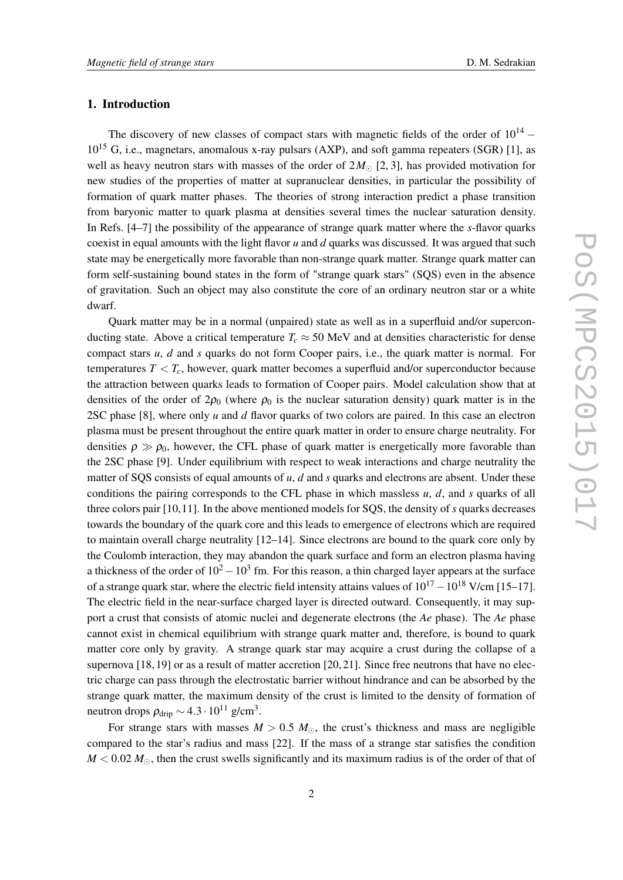## 1. Introduction

The discovery of new classes of compact stars with magnetic fields of the order of  $10^{14}$  –  $10^{15}$  G, i.e., magnetars, anomalous x-ray pulsars (AXP), and soft gamma repeaters (SGR) [1], as well as heavy neutron stars with masses of the order of  $2M_{\odot}$  [2, 3], has provided motivation for new studies of the properties of matter at supranuclear densities, in particular the possibility of formation of quark matter phases. The theories of strong interaction predict a phase transition from baryonic matter to quark plasma at densities several times the nuclear saturation density. In Refs. [4–7] the possibility of the appearance of strange quark matter where the *s*-flavor quarks coexist in equal amounts with the light flavor *u* and *d* quarks was discussed. It was argued that such state may be energetically more favorable than non-strange quark matter. Strange quark matter can form self-sustaining bound states in the form of "strange quark stars" (SQS) even in the absence of gravitation. Such an object may also constitute the core of an ordinary neutron star or a white dwarf.

Quark matter may be in a normal (unpaired) state as well as in a superfluid and/or superconducting state. Above a critical temperature  $T_c \approx 50 \text{ MeV}$  and at densities characteristic for dense compact stars *u*, *d* and *s* quarks do not form Cooper pairs, i.e., the quark matter is normal. For temperatures  $T < T_c$ , however, quark matter becomes a superfluid and/or superconductor because the attraction between quarks leads to formation of Cooper pairs. Model calculation show that at densities of the order of  $2\rho_0$  (where  $\rho_0$  is the nuclear saturation density) quark matter is in the 2SC phase [8], where only *u* and *d* flavor quarks of two colors are paired. In this case an electron plasma must be present throughout the entire quark matter in order to ensure charge neutrality. For densities  $\rho \gg \rho_0$ , however, the CFL phase of quark matter is energetically more favorable than the 2SC phase [9]. Under equilibrium with respect to weak interactions and charge neutrality the matter of SQS consists of equal amounts of *u*, *d* and *s* quarks and electrons are absent. Under these conditions the pairing corresponds to the CFL phase in which massless *u*, *d*, and *s* quarks of all three colors pair [10,11]. In the above mentioned models for SQS, the density of *s* quarks decreases towards the boundary of the quark core and this leads to emergence of electrons which are required to maintain overall charge neutrality [12–14]. Since electrons are bound to the quark core only by the Coulomb interaction, they may abandon the quark surface and form an electron plasma having a thickness of the order of  $10^2 - 10^3$  fm. For this reason, a thin charged layer appears at the surface of a strange quark star, where the electric field intensity attains values of  $10^{17} - 10^{18}$  V/cm [15–17]. The electric field in the near-surface charged layer is directed outward. Consequently, it may support a crust that consists of atomic nuclei and degenerate electrons (the *Ae* phase). The *Ae* phase cannot exist in chemical equilibrium with strange quark matter and, therefore, is bound to quark matter core only by gravity. A strange quark star may acquire a crust during the collapse of a supernova [18, 19] or as a result of matter accretion [20, 21]. Since free neutrons that have no electric charge can pass through the electrostatic barrier without hindrance and can be absorbed by the strange quark matter, the maximum density of the crust is limited to the density of formation of neutron drops  $\rho_{\text{drip}} \sim 4.3 \cdot 10^{11}$  g/cm<sup>3</sup>.

For strange stars with masses  $M > 0.5$   $M_{\odot}$ , the crust's thickness and mass are negligible compared to the star's radius and mass [22]. If the mass of a strange star satisfies the condition  $M < 0.02 M_{\odot}$ , then the crust swells significantly and its maximum radius is of the order of that of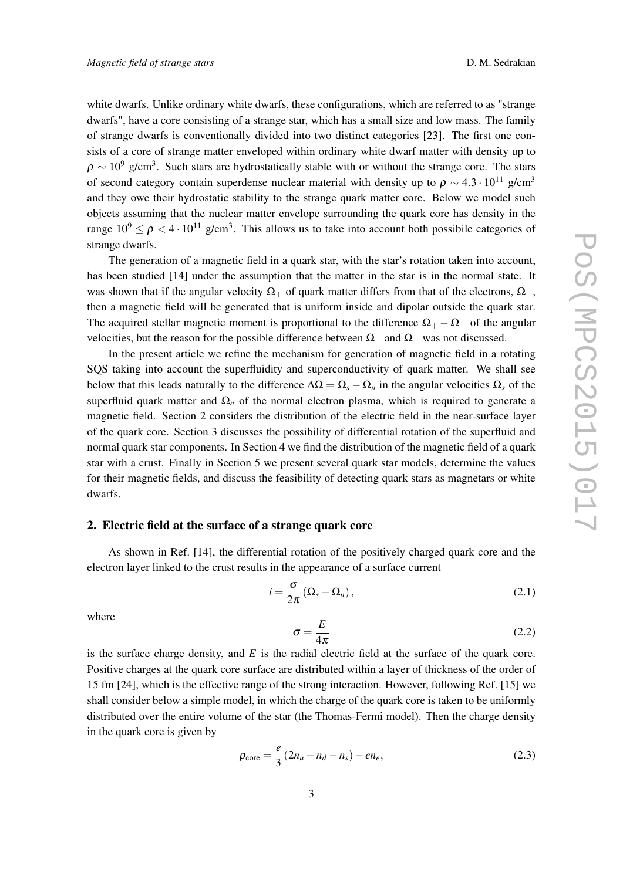<span id="page-2-0"></span>white dwarfs. Unlike ordinary white dwarfs, these configurations, which are referred to as "strange" dwarfs", have a core consisting of a strange star, which has a small size and low mass. The family of strange dwarfs is conventionally divided into two distinct categories [23]. The first one consists of a core of strange matter enveloped within ordinary white dwarf matter with density up to  $\rho \sim 10^9$  g/cm<sup>3</sup>. Such stars are hydrostatically stable with or without the strange core. The stars of second category contain superdense nuclear material with density up to  $\rho \sim 4.3 \cdot 10^{11}$  g/cm<sup>3</sup> and they owe their hydrostatic stability to the strange quark matter core. Below we model such objects assuming that the nuclear matter envelope surrounding the quark core has density in the range  $10^9 \le \rho < 4 \cdot 10^{11}$  g/cm<sup>3</sup>. This allows us to take into account both possibile categories of strange dwarfs.

The generation of a magnetic field in a quark star, with the star's rotation taken into account, has been studied [14] under the assumption that the matter in the star is in the normal state. It was shown that if the angular velocity  $\Omega_+$  of quark matter differs from that of the electrons,  $\Omega_-$ , then a magnetic field will be generated that is uniform inside and dipolar outside the quark star. The acquired stellar magnetic moment is proportional to the difference  $\Omega_{+} - \Omega_{-}$  of the angular velocities, but the reason for the possible difference between  $\Omega_{-}$  and  $\Omega_{+}$  was not discussed.

In the present article we refine the mechanism for generation of magnetic field in a rotating SQS taking into account the superfluidity and superconductivity of quark matter. We shall see below that this leads naturally to the difference  $\Delta\Omega = \Omega_s - \Omega_n$  in the angular velocities  $\Omega_s$  of the superfluid quark matter and  $\Omega_n$  of the normal electron plasma, which is required to generate a magnetic field. Section 2 considers the distribution of the electric field in the near-surface layer of the quark core. Section 3 discusses the possibility of differential rotation of the superfluid and normal quark star components. In Section 4 we find the distribution of the magnetic field of a quark star with a crust. Finally in Section 5 we present several quark star models, determine the values for their magnetic fields, and discuss the feasibility of detecting quark stars as magnetars or white dwarfs.

## 2. Electric field at the surface of a strange quark core

As shown in Ref. [14], the differential rotation of the positively charged quark core and the electron layer linked to the crust results in the appearance of a surface current

$$
i = \frac{\sigma}{2\pi} \left( \Omega_s - \Omega_n \right), \tag{2.1}
$$

where

$$
\sigma = \frac{E}{4\pi} \tag{2.2}
$$

is the surface charge density, and *E* is the radial electric field at the surface of the quark core. Positive charges at the quark core surface are distributed within a layer of thickness of the order of 15 fm [24], which is the effective range of the strong interaction. However, following Ref. [15] we shall consider below a simple model, in which the charge of the quark core is taken to be uniformly distributed over the entire volume of the star (the Thomas-Fermi model). Then the charge density in the quark core is given by

$$
\rho_{\text{core}} = \frac{e}{3} (2n_u - n_d - n_s) - en_e, \tag{2.3}
$$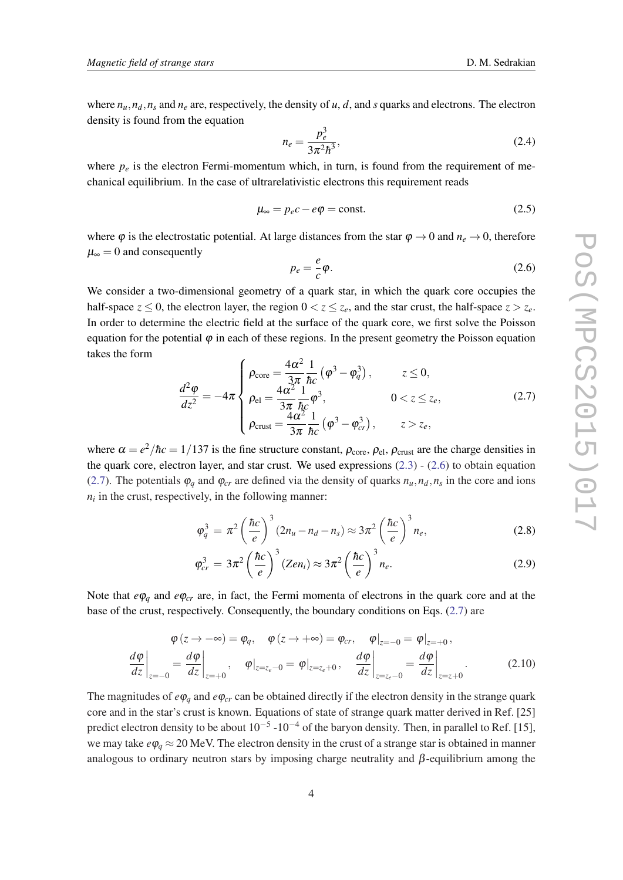<span id="page-3-0"></span>where  $n_u, n_d, n_s$  and  $n_e$  are, respectively, the density of *u*, *d*, and *s* quarks and electrons. The electron density is found from the equation

$$
n_e = \frac{p_e^3}{3\pi^2\hbar^3},\tag{2.4}
$$

where  $p_e$  is the electron Fermi-momentum which, in turn, is found from the requirement of mechanical equilibrium. In the case of ultrarelativistic electrons this requirement reads

$$
\mu_{\infty} = p_e c - e \varphi = \text{const.} \tag{2.5}
$$

where  $\varphi$  is the electrostatic potential. At large distances from the star  $\varphi \to 0$  and  $n_e \to 0$ , therefore  $\mu_{\infty} = 0$  and consequently

$$
p_e = \frac{e}{c}\varphi. \tag{2.6}
$$

We consider a two-dimensional geometry of a quark star, in which the quark core occupies the half-space  $z \le 0$ , the electron layer, the region  $0 < z \le z_e$ , and the star crust, the half-space  $z > z_e$ . In order to determine the electric field at the surface of the quark core, we first solve the Poisson equation for the potential  $\varphi$  in each of these regions. In the present geometry the Poisson equation takes the form

$$
\frac{d^2\varphi}{dz^2} = -4\pi \begin{cases} \rho_{\text{core}} = \frac{4\alpha^2}{3\pi} \frac{1}{\hbar c} \left( \varphi^3 - \varphi_q^3 \right), & z \le 0, \\ \rho_{\text{el}} = \frac{4\alpha^2}{3\pi} \frac{1}{\hbar c} \varphi^3, & 0 < z \le z_e, \\ \rho_{\text{crust}} = \frac{4\alpha^2}{3\pi} \frac{1}{\hbar c} \left( \varphi^3 - \varphi_{cr}^3 \right), & z > z_e, \end{cases} \tag{2.7}
$$

where  $\alpha = e^2/\hbar c = 1/137$  is the fine structure constant,  $\rho_{\text{core}}$ ,  $\rho_{\text{el}}$ ,  $\rho_{\text{crust}}$  are the charge densities in the quark core, electron layer, and star crust. We used expressions [\(2.3](#page-2-0)) - (2.6) to obtain equation (2.7). The potentials  $\varphi_q$  and  $\varphi_{cr}$  are defined via the density of quarks  $n_u, n_d, n_s$  in the core and ions  $n_i$  in the crust, respectively, in the following manner:

$$
\varphi_q^3 = \pi^2 \left(\frac{\hbar c}{e}\right)^3 (2n_u - n_d - n_s) \approx 3\pi^2 \left(\frac{\hbar c}{e}\right)^3 n_e, \tag{2.8}
$$

$$
\varphi_{cr}^3 = 3\pi^2 \left(\frac{\hbar c}{e}\right)^3 (Zen_i) \approx 3\pi^2 \left(\frac{\hbar c}{e}\right)^3 n_e. \tag{2.9}
$$

Note that  $e\varphi_q$  and  $e\varphi_{cr}$  are, in fact, the Fermi momenta of electrons in the quark core and at the base of the crust, respectively. Consequently, the boundary conditions on Eqs. (2.7) are

$$
\varphi(z \to -\infty) = \varphi_q, \quad \varphi(z \to +\infty) = \varphi_{cr}, \quad \varphi|_{z=-0} = \varphi|_{z=+0},
$$

$$
\left. \frac{d\varphi}{dz} \right|_{z=-0} = \left. \frac{d\varphi}{dz} \right|_{z=-+0}, \quad \varphi|_{z=z_e-0} = \varphi|_{z=z_e+0}, \quad \left. \frac{d\varphi}{dz} \right|_{z=z_e-0} = \left. \frac{d\varphi}{dz} \right|_{z=z+0}.
$$
(2.10)

The magnitudes of  $e\phi_q$  and  $e\phi_{cr}$  can be obtained directly if the electron density in the strange quark core and in the star's crust is known. Equations of state of strange quark matter derived in Ref. [25] predict electron density to be about  $10^{-5}$  -10<sup>-4</sup> of the baryon density. Then, in parallel to Ref. [15], we may take  $e\phi$ <sup> $q$ </sup>  $\approx$  20 MeV. The electron density in the crust of a strange star is obtained in manner analogous to ordinary neutron stars by imposing charge neutrality and  $\beta$ -equilibrium among the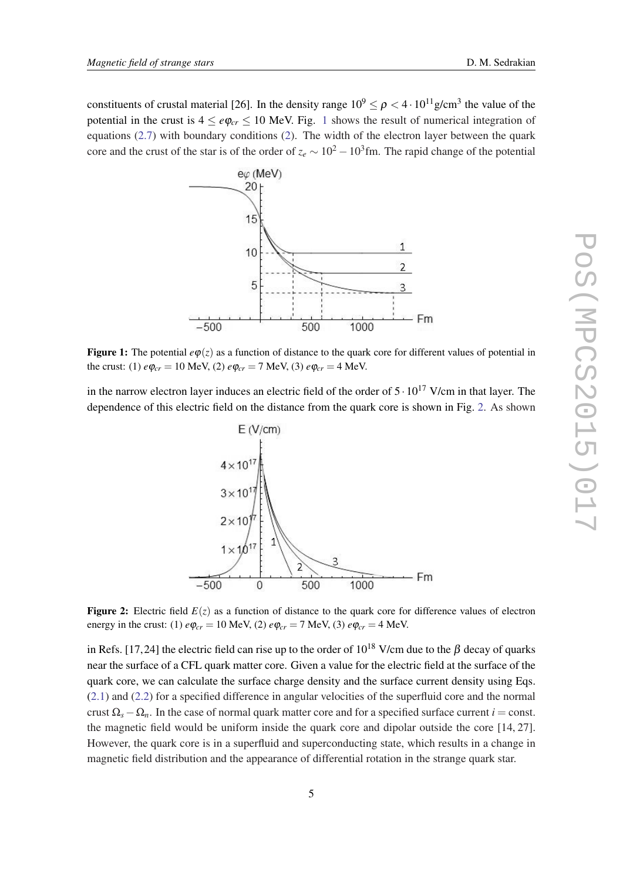constituents of crustal material [26]. In the density range  $10^9 \le \rho < 4 \cdot 10^{11}$  g/cm<sup>3</sup> the value of the potential in the crust is  $4 \leq e\varphi_{cr} \leq 10$  MeV. Fig. 1 shows the result of numerical integration of equations [\(2.7\)](#page-3-0) with boundary conditions [\(2\)](#page-3-0). The width of the electron layer between the quark core and the crust of the star is of the order of  $z_e \sim 10^2 - 10^3$  fm. The rapid change of the potential



**Figure 1:** The potential  $e\varphi(z)$  as a function of distance to the quark core for different values of potential in the crust: (1)  $e\varphi_{cr} = 10 \text{ MeV}$ , (2)  $e\varphi_{cr} = 7 \text{ MeV}$ , (3)  $e\varphi_{cr} = 4 \text{ MeV}$ .

in the narrow electron layer induces an electric field of the order of  $5 \cdot 10^{17}$  V/cm in that layer. The dependence of this electric field on the distance from the quark core is shown in Fig. 2. As shown



Figure 2: Electric field  $E(z)$  as a function of distance to the quark core for difference values of electron energy in the crust: (1)  $e\varphi_{cr} = 10 \text{ MeV}$ , (2)  $e\varphi_{cr} = 7 \text{ MeV}$ , (3)  $e\varphi_{cr} = 4 \text{ MeV}$ .

in Refs. [17,24] the electric field can rise up to the order of  $10^{18}$  V/cm due to the  $\beta$  decay of quarks near the surface of a CFL quark matter core. Given a value for the electric field at the surface of the quark core, we can calculate the surface charge density and the surface current density using Eqs. ([2.1\)](#page-2-0) and [\(2.2\)](#page-2-0) for a specified difference in angular velocities of the superfluid core and the normal crust  $\Omega_s - \Omega_n$ . In the case of normal quark matter core and for a specified surface current *i* = const. the magnetic field would be uniform inside the quark core and dipolar outside the core [14, 27]. However, the quark core is in a superfluid and superconducting state, which results in a change in magnetic field distribution and the appearance of differential rotation in the strange quark star.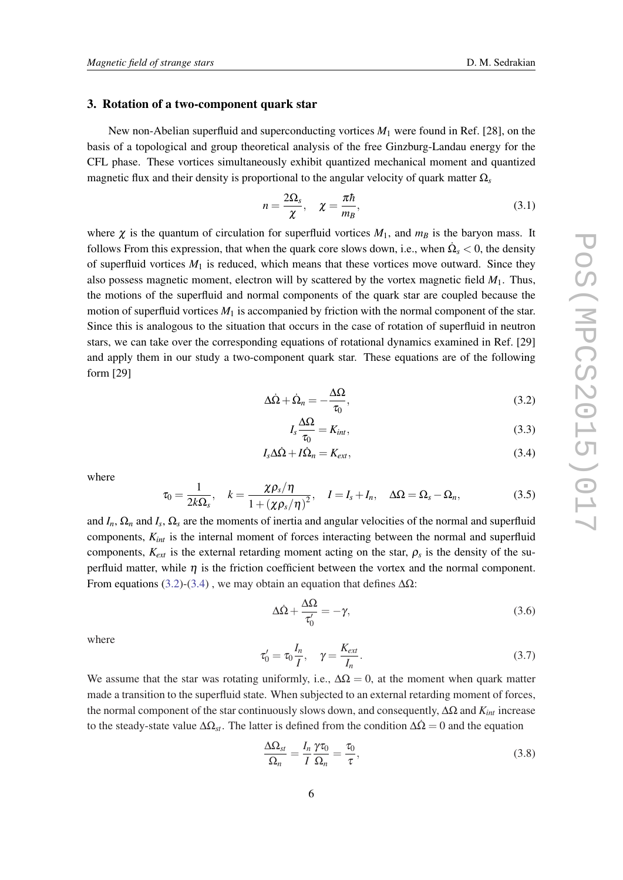#### <span id="page-5-0"></span>3. Rotation of a two-component quark star

New non-Abelian superfluid and superconducting vortices *M*<sup>1</sup> were found in Ref. [28], on the basis of a topological and group theoretical analysis of the free Ginzburg-Landau energy for the CFL phase. These vortices simultaneously exhibit quantized mechanical moment and quantized magnetic flux and their density is proportional to the angular velocity of quark matter  $\Omega_s$ 

$$
n = \frac{2\Omega_s}{\chi}, \quad \chi = \frac{\pi\hbar}{m_B},\tag{3.1}
$$

where  $\chi$  is the quantum of circulation for superfluid vortices  $M_1$ , and  $m_B$  is the baryon mass. It follows From this expression, that when the quark core slows down, i.e., when  $\dot{\Omega}_s < 0$ , the density of superfluid vortices  $M_1$  is reduced, which means that these vortices move outward. Since they also possess magnetic moment, electron will by scattered by the vortex magnetic field *M*1. Thus, the motions of the superfluid and normal components of the quark star are coupled because the motion of superfluid vortices  $M_1$  is accompanied by friction with the normal component of the star. Since this is analogous to the situation that occurs in the case of rotation of superfluid in neutron stars, we can take over the corresponding equations of rotational dynamics examined in Ref. [29] and apply them in our study a two-component quark star. These equations are of the following form [29]

$$
\Delta \dot{\Omega} + \dot{\Omega}_n = -\frac{\Delta \Omega}{\tau_0},\tag{3.2}
$$

$$
I_s \frac{\Delta \Omega}{\tau_0} = K_{int},\tag{3.3}
$$

$$
I_s \Delta \dot{\Omega} + I \dot{\Omega}_n = K_{ext},\tag{3.4}
$$

where

$$
\tau_0 = \frac{1}{2k\Omega_s}, \quad k = \frac{\chi \rho_s/\eta}{1 + (\chi \rho_s/\eta)^2}, \quad I = I_s + I_n, \quad \Delta\Omega = \Omega_s - \Omega_n,\tag{3.5}
$$

and  $I_n$ ,  $\Omega_n$  and  $I_s$ ,  $\Omega_s$  are the moments of inertia and angular velocities of the normal and superfluid components, *Kint* is the internal moment of forces interacting between the normal and superfluid components,  $K_{ext}$  is the external retarding moment acting on the star,  $\rho_s$  is the density of the superfluid matter, while  $\eta$  is the friction coefficient between the vortex and the normal component. From equations (3.2)-(3.4), we may obtain an equation that defines  $\Delta\Omega$ :

$$
\Delta \dot{\Omega} + \frac{\Delta \Omega}{\tau_0'} = -\gamma,\tag{3.6}
$$

where

$$
\tau_0' = \tau_0 \frac{I_n}{I}, \quad \gamma = \frac{K_{ext}}{I_n}.
$$
\n(3.7)

We assume that the star was rotating uniformly, i.e.,  $\Delta \Omega = 0$ , at the moment when quark matter made a transition to the superfluid state. When subjected to an external retarding moment of forces, the normal component of the star continuously slows down, and consequently, ∆Ω and *Kint* increase to the steady-state value  $\Delta\Omega_{st}$ . The latter is defined from the condition  $\Delta\dot{\Omega} = 0$  and the equation

$$
\frac{\Delta\Omega_{st}}{\Omega_n} = \frac{I_n}{I} \frac{\gamma \tau_0}{\Omega_n} = \frac{\tau_0}{\tau},\tag{3.8}
$$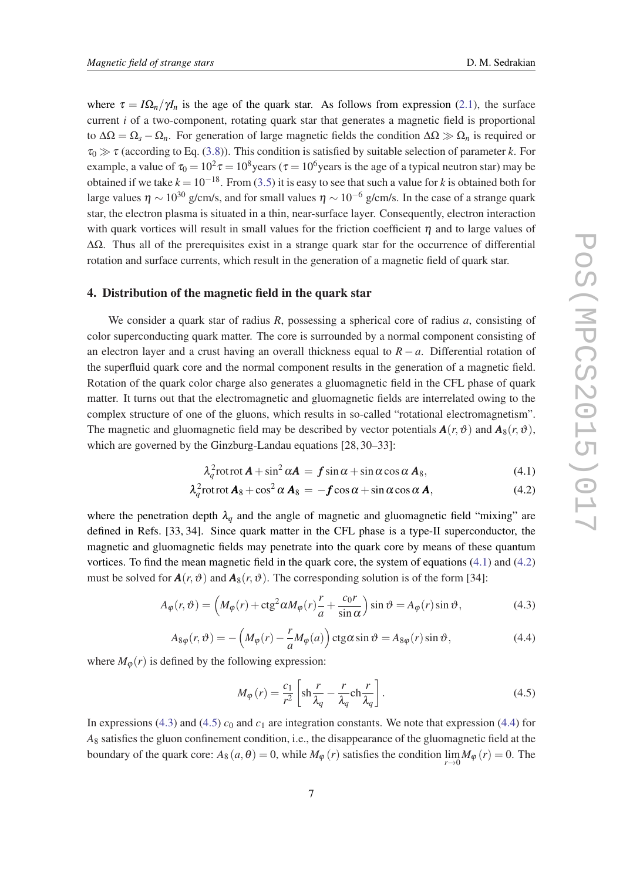<span id="page-6-0"></span>where  $\tau = I\Omega_n/\gamma I_n$  is the age of the quark star. As follows from expression ([2.1](#page-2-0)), the surface current *i* of a two-component, rotating quark star that generates a magnetic field is proportional to  $\Delta\Omega = \Omega_s - \Omega_n$ . For generation of large magnetic fields the condition  $\Delta\Omega \gg \Omega_n$  is required or  $\tau_0 \gg \tau$  (according to Eq. ([3.8\)](#page-5-0)). This condition is satisfied by suitable selection of parameter *k*. For example, a value of  $\tau_0 = 10^2 \tau = 10^8$ years ( $\tau = 10^6$ years is the age of a typical neutron star) may be obtained if we take  $k = 10^{-18}$ . From [\(3.5\)](#page-5-0) it is easy to see that such a value for *k* is obtained both for large values  $\eta \sim 10^{30}$  g/cm/s, and for small values  $\eta \sim 10^{-6}$  g/cm/s. In the case of a strange quark star, the electron plasma is situated in a thin, near-surface layer. Consequently, electron interaction with quark vortices will result in small values for the friction coefficient  $\eta$  and to large values of  $\Delta\Omega$ . Thus all of the prerequisites exist in a strange quark star for the occurrence of differential rotation and surface currents, which result in the generation of a magnetic field of quark star.

#### 4. Distribution of the magnetic field in the quark star

We consider a quark star of radius *R*, possessing a spherical core of radius *a*, consisting of color superconducting quark matter. The core is surrounded by a normal component consisting of an electron layer and a crust having an overall thickness equal to *R* − *a*. Differential rotation of the superfluid quark core and the normal component results in the generation of a magnetic field. Rotation of the quark color charge also generates a gluomagnetic field in the CFL phase of quark matter. It turns out that the electromagnetic and gluomagnetic fields are interrelated owing to the complex structure of one of the gluons, which results in so-called "rotational electromagnetism". The magnetic and gluomagnetic field may be described by vector potentials  $A(r, \vartheta)$  and  $A_8(r, \vartheta)$ , which are governed by the Ginzburg-Landau equations [28, 30–33]:

$$
\lambda_q^2 \text{rotrot } \mathbf{A} + \sin^2 \alpha \mathbf{A} = \mathbf{f} \sin \alpha + \sin \alpha \cos \alpha \mathbf{A}_8, \tag{4.1}
$$

$$
\lambda_q^2 \text{rotrot} \mathbf{A}_8 + \cos^2 \alpha \mathbf{A}_8 = -\mathbf{f} \cos \alpha + \sin \alpha \cos \alpha \mathbf{A}, \qquad (4.2)
$$

where the penetration depth  $\lambda_q$  and the angle of magnetic and gluomagnetic field "mixing" are defined in Refs. [33, 34]. Since quark matter in the CFL phase is a type-II superconductor, the magnetic and gluomagnetic fields may penetrate into the quark core by means of these quantum vortices. To find the mean magnetic field in the quark core, the system of equations (4.1) and (4.2) must be solved for  $\mathbf{A}(r, \vartheta)$  and  $\mathbf{A}_8(r, \vartheta)$ . The corresponding solution is of the form [34]:

$$
A_{\varphi}(r,\vartheta) = \left(M_{\varphi}(r) + \text{ctg}^2 \alpha M_{\varphi}(r)\frac{r}{a} + \frac{c_0 r}{\sin \alpha}\right) \sin \vartheta = A_{\varphi}(r) \sin \vartheta, \tag{4.3}
$$

$$
A_{8\varphi}(r,\vartheta) = -\left(M_{\varphi}(r) - \frac{r}{a}M_{\varphi}(a)\right) \operatorname{ctg}\alpha \sin\vartheta = A_{8\varphi}(r) \sin\vartheta, \tag{4.4}
$$

where  $M_{\varphi}(r)$  is defined by the following expression:

$$
M_{\varphi}(r) = \frac{c_1}{r^2} \left[ \text{sh} \frac{r}{\lambda_q} - \frac{r}{\lambda_q} \text{ch} \frac{r}{\lambda_q} \right].
$$
 (4.5)

In expressions (4.3) and (4.5)  $c_0$  and  $c_1$  are integration constants. We note that expression (4.4) for *A*<sup>8</sup> satisfies the gluon confinement condition, i.e., the disappearance of the gluomagnetic field at the boundary of the quark core:  $A_8(a, \theta) = 0$ , while  $M_\phi(r)$  satisfies the condition  $\lim_{r \to 0} M_\phi(r) = 0$ . The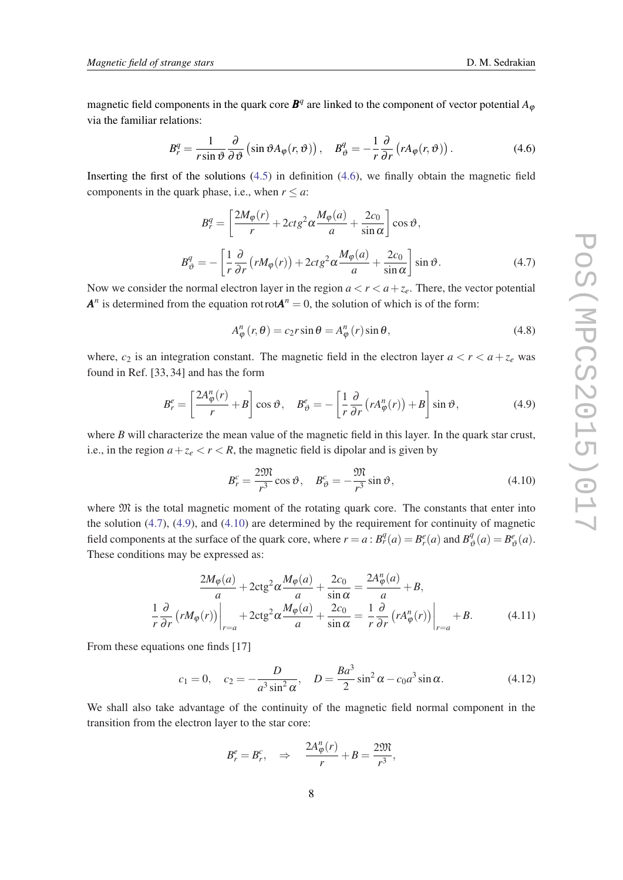<span id="page-7-0"></span>magnetic field components in the quark core  $\mathbf{B}^q$  are linked to the component of vector potential  $A_\phi$ via the familiar relations:

$$
B_r^q = \frac{1}{r \sin \vartheta} \frac{\partial}{\partial \vartheta} \left( \sin \vartheta A_\varphi(r, \vartheta) \right), \quad B_\vartheta^q = -\frac{1}{r} \frac{\partial}{\partial r} \left( r A_\varphi(r, \vartheta) \right). \tag{4.6}
$$

Inserting the first of the solutions  $(4.5)$  $(4.5)$  $(4.5)$  in definition  $(4.6)$ , we finally obtain the magnetic field components in the quark phase, i.e., when  $r \le a$ :

$$
B_r^q = \left[\frac{2M_{\varphi}(r)}{r} + 2ctg^2\alpha \frac{M_{\varphi}(a)}{a} + \frac{2c_0}{\sin \alpha}\right] \cos \vartheta,
$$
  

$$
B_\vartheta^q = -\left[\frac{1}{r}\frac{\partial}{\partial r}\left(rM_{\varphi}(r)\right) + 2ctg^2\alpha \frac{M_{\varphi}(a)}{a} + \frac{2c_0}{\sin \alpha}\right] \sin \vartheta.
$$
 (4.7)

Now we consider the normal electron layer in the region  $a < r < a + z<sub>e</sub>$ . There, the vector potential  $A^n$  is determined from the equation rot rot $A^n = 0$ , the solution of which is of the form:

$$
A_{\varphi}^{n}(r,\theta) = c_{2}r\sin\theta = A_{\varphi}^{n}(r)\sin\theta, \qquad (4.8)
$$

where,  $c_2$  is an integration constant. The magnetic field in the electron layer  $a < r < a + z_e$  was found in Ref. [33, 34] and has the form

$$
B_r^e = \left[\frac{2A_\varphi^n(r)}{r} + B\right] \cos\vartheta, \quad B_\vartheta^e = -\left[\frac{1}{r}\frac{\partial}{\partial r}\left(rA_\varphi^n(r)\right) + B\right] \sin\vartheta,\tag{4.9}
$$

where *B* will characterize the mean value of the magnetic field in this layer. In the quark star crust, i.e., in the region  $a + z_e < r < R$ , the magnetic field is dipolar and is given by

$$
B_r^c = \frac{2\mathfrak{M}}{r^3} \cos \vartheta, \quad B_\vartheta^c = -\frac{\mathfrak{M}}{r^3} \sin \vartheta,\tag{4.10}
$$

where  $\mathfrak M$  is the total magnetic moment of the rotating quark core. The constants that enter into the solution (4.7), (4.9), and (4.10) are determined by the requirement for continuity of magnetic field components at the surface of the quark core, where  $r = a : B_r^q(a) = B_r^e(a)$  and  $B_q^q$  $B^e_{\theta}(a) = B^e_{\theta}$  $\theta_{\vartheta}^{e}(a)$ . These conditions may be expressed as:

$$
\frac{2M_{\varphi}(a)}{a} + 2\mathrm{ctg}^{2}\alpha \frac{M_{\varphi}(a)}{a} + \frac{2c_{0}}{\sin \alpha} = \frac{2A_{\varphi}^{n}(a)}{a} + B,
$$
\n
$$
\frac{1}{r} \frac{\partial}{\partial r} \left( rM_{\varphi}(r) \right) \Big|_{r=a} + 2\mathrm{ctg}^{2}\alpha \frac{M_{\varphi}(a)}{a} + \frac{2c_{0}}{\sin \alpha} = \frac{1}{r} \frac{\partial}{\partial r} \left( rA_{\varphi}^{n}(r) \right) \Big|_{r=a} + B.
$$
\n(4.11)

From these equations one finds [17]

$$
c_1 = 0
$$
,  $c_2 = -\frac{D}{a^3 \sin^2 \alpha}$ ,  $D = \frac{Ba^3}{2} \sin^2 \alpha - c_0 a^3 \sin \alpha$ . (4.12)

We shall also take advantage of the continuity of the magnetic field normal component in the transition from the electron layer to the star core:

$$
B_r^e = B_r^c, \quad \Rightarrow \quad \frac{2A_\varphi^n(r)}{r} + B = \frac{2\mathfrak{M}}{r^3},
$$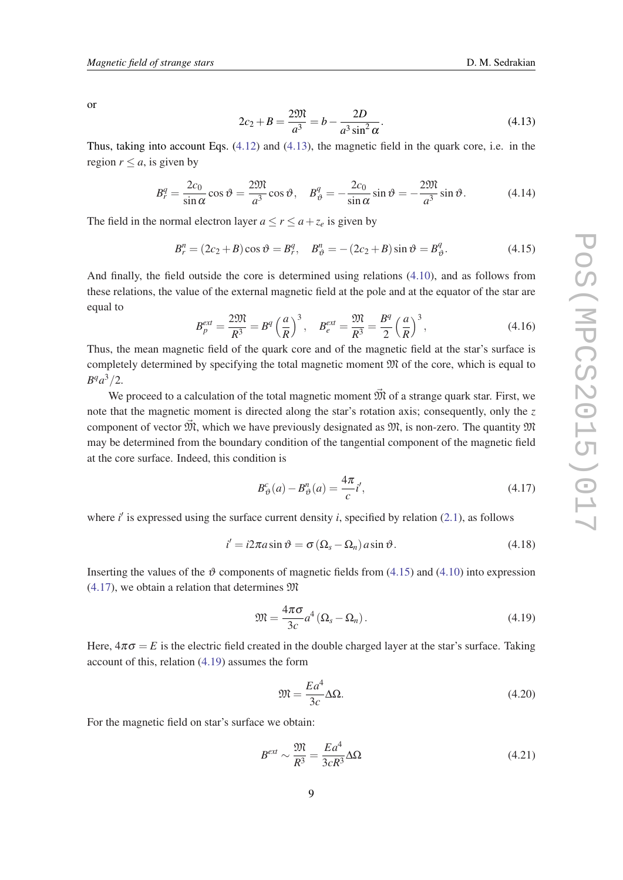<span id="page-8-0"></span>or

$$
2c_2 + B = \frac{2\mathfrak{M}}{a^3} = b - \frac{2D}{a^3 \sin^2 \alpha}.
$$
 (4.13)

Thus, taking into account Eqs. ([4.12\)](#page-7-0) and (4.13), the magnetic field in the quark core, i.e. in the region  $r \leq a$ , is given by

$$
B_r^q = \frac{2c_0}{\sin \alpha} \cos \vartheta = \frac{2\mathfrak{M}}{a^3} \cos \vartheta, \quad B_\vartheta^q = -\frac{2c_0}{\sin \alpha} \sin \vartheta = -\frac{2\mathfrak{M}}{a^3} \sin \vartheta. \tag{4.14}
$$

The field in the normal electron layer  $a \le r \le a + z_e$  is given by

$$
B_r^n = (2c_2 + B)\cos\vartheta = B_r^q, \quad B_\vartheta^n = -(2c_2 + B)\sin\vartheta = B_\vartheta^q.
$$
 (4.15)

And finally, the field outside the core is determined using relations [\(4.10](#page-7-0)), and as follows from these relations, the value of the external magnetic field at the pole and at the equator of the star are equal to

$$
B_p^{ext} = \frac{2\mathfrak{M}}{R^3} = B^q \left(\frac{a}{R}\right)^3, \quad B_e^{ext} = \frac{\mathfrak{M}}{R^3} = \frac{B^q}{2} \left(\frac{a}{R}\right)^3,\tag{4.16}
$$

Thus, the mean magnetic field of the quark core and of the magnetic field at the star's surface is completely determined by specifying the total magnetic moment  $\mathfrak{M}$  of the core, which is equal to  $B^{q}a^{3}/2.$ 

We proceed to a calculation of the total magnetic moment  $\vec{M}$  of a strange quark star. First, we note that the magnetic moment is directed along the star's rotation axis; consequently, only the *z* component of vector  $\tilde{M}$ , which we have previously designated as  $\mathfrak{M}$ , is non-zero. The quantity  $\mathfrak M$ may be determined from the boundary condition of the tangential component of the magnetic field at the core surface. Indeed, this condition is

$$
B^c_{\vartheta}(a) - B^n_{\vartheta}(a) = \frac{4\pi}{c}i',\tag{4.17}
$$

where  $i'$  is expressed using the surface current density  $i$ , specified by relation [\(2.1](#page-2-0)), as follows

$$
i' = i2\pi a \sin \vartheta = \sigma (\Omega_s - \Omega_n) a \sin \vartheta.
$$
 (4.18)

Inserting the values of the  $\vartheta$  components of magnetic fields from (4.15) and [\(4.10\)](#page-7-0) into expression  $(4.17)$ , we obtain a relation that determines  $\mathfrak{M}$ 

$$
\mathfrak{M} = \frac{4\pi\sigma}{3c}a^4\left(\Omega_s - \Omega_n\right). \tag{4.19}
$$

Here,  $4\pi\sigma = E$  is the electric field created in the double charged layer at the star's surface. Taking account of this, relation (4.19) assumes the form

$$
\mathfrak{M} = \frac{Ea^4}{3c} \Delta \Omega. \tag{4.20}
$$

For the magnetic field on star's surface we obtain:

$$
B^{ext} \sim \frac{\mathfrak{M}}{R^3} = \frac{Ea^4}{3cR^3} \Delta\Omega \tag{4.21}
$$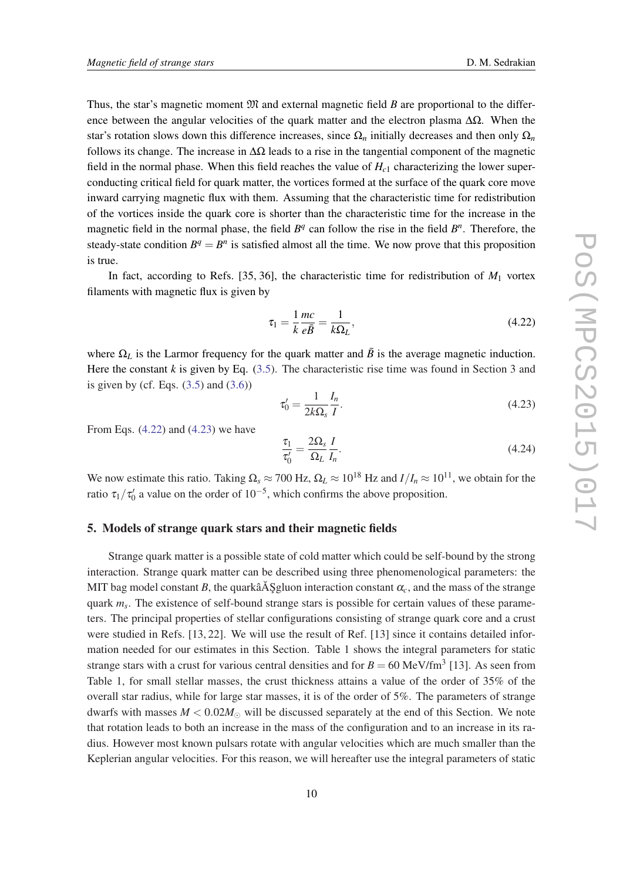Thus, the star's magnetic moment  $\mathfrak{M}$  and external magnetic field *B* are proportional to the difference between the angular velocities of the quark matter and the electron plasma  $\Delta\Omega$ . When the star's rotation slows down this difference increases, since  $\Omega_n$  initially decreases and then only  $\Omega_n$ follows its change. The increase in  $\Delta\Omega$  leads to a rise in the tangential component of the magnetic field in the normal phase. When this field reaches the value of *Hc*<sup>1</sup> characterizing the lower superconducting critical field for quark matter, the vortices formed at the surface of the quark core move inward carrying magnetic flux with them. Assuming that the characteristic time for redistribution of the vortices inside the quark core is shorter than the characteristic time for the increase in the magnetic field in the normal phase, the field  $B<sup>q</sup>$  can follow the rise in the field  $B<sup>n</sup>$ . Therefore, the steady-state condition  $B^q = B^n$  is satisfied almost all the time. We now prove that this proposition is true.

In fact, according to Refs. [35, 36], the characteristic time for redistribution of  $M_1$  vortex filaments with magnetic flux is given by

$$
\tau_1 = \frac{1}{k} \frac{mc}{e\bar{B}} = \frac{1}{k\Omega_L},\tag{4.22}
$$

where  $\Omega_L$  is the Larmor frequency for the quark matter and  $\bar{B}$  is the average magnetic induction. Here the constant *k* is given by Eq. [\(3.5\)](#page-5-0). The characteristic rise time was found in Section 3 and is given by (cf. Eqs.  $(3.5)$  $(3.5)$  $(3.5)$  and  $(3.6)$  $(3.6)$ )

$$
\tau_0' = \frac{1}{2k\Omega_s} \frac{I_n}{I}.\tag{4.23}
$$

From Eqs. (4.22) and (4.23) we have

$$
\frac{\tau_1}{\tau'_0} = \frac{2\Omega_s}{\Omega_L} \frac{I}{I_n}.
$$
\n(4.24)

We now estimate this ratio. Taking  $\Omega_s \approx 700$  Hz,  $\Omega_L \approx 10^{18}$  Hz and  $I/I_n \approx 10^{11}$ , we obtain for the ratio  $\tau_1/\tau_0'$  a value on the order of  $10^{-5}$ , which confirms the above proposition.

#### 5. Models of strange quark stars and their magnetic fields

Strange quark matter is a possible state of cold matter which could be self-bound by the strong interaction. Strange quark matter can be described using three phenomenological parameters: the MIT bag model constant *B*, the quarkâ $\tilde{A}$  Şgluon interaction constant  $\alpha_c$ , and the mass of the strange quark *m<sup>s</sup>* . The existence of self-bound strange stars is possible for certain values of these parameters. The principal properties of stellar configurations consisting of strange quark core and a crust were studied in Refs. [13, 22]. We will use the result of Ref. [13] since it contains detailed information needed for our estimates in this Section. Table 1 shows the integral parameters for static strange stars with a crust for various central densities and for  $B = 60 \text{ MeV/fm}^3$  [13]. As seen from Table 1, for small stellar masses, the crust thickness attains a value of the order of 35% of the overall star radius, while for large star masses, it is of the order of 5%. The parameters of strange dwarfs with masses  $M < 0.02 M_{\odot}$  will be discussed separately at the end of this Section. We note that rotation leads to both an increase in the mass of the configuration and to an increase in its radius. However most known pulsars rotate with angular velocities which are much smaller than the Keplerian angular velocities. For this reason, we will hereafter use the integral parameters of static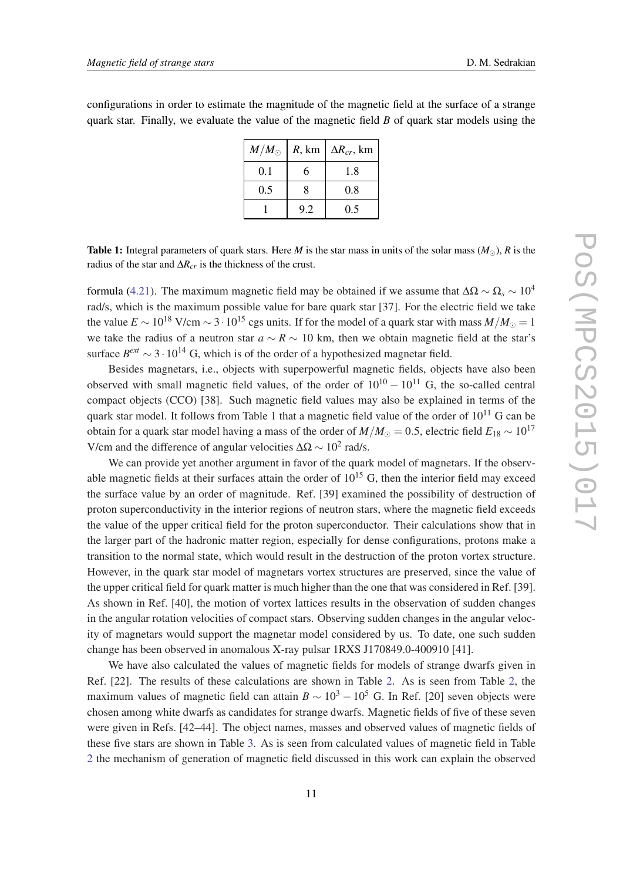configurations in order to estimate the magnitude of the magnetic field at the surface of a strange quark star. Finally, we evaluate the value of the magnetic field *B* of quark star models using the

|     |     | $M/M_{\odot}$   R, km   $\Delta R_{cr}$ , km |
|-----|-----|----------------------------------------------|
| 0.1 | 6   | 1.8                                          |
| 0.5 | 8   | 0.8                                          |
|     | 9.2 | 0.5                                          |

**Table 1:** Integral parameters of quark stars. Here *M* is the star mass in units of the solar mass ( $M_{\odot}$ ), *R* is the radius of the star and  $\Delta R_{cr}$  is the thickness of the crust.

formula ([4.21\)](#page-8-0). The maximum magnetic field may be obtained if we assume that  $\Delta\Omega \sim \Omega_s \sim 10^4$ rad/s, which is the maximum possible value for bare quark star [37]. For the electric field we take the value  $E \sim 10^{18}$  V/cm  $\sim 3 \cdot 10^{15}$  cgs units. If for the model of a quark star with mass  $M/M_{\odot} = 1$ we take the radius of a neutron star  $a \sim R \sim 10$  km, then we obtain magnetic field at the star's surface  $B^{ext} \sim 3 \cdot 10^{14}$  G, which is of the order of a hypothesized magnetar field.

Besides magnetars, i.e., objects with superpowerful magnetic fields, objects have also been observed with small magnetic field values, of the order of  $10^{10} - 10^{11}$  G, the so-called central compact objects (CCO) [38]. Such magnetic field values may also be explained in terms of the quark star model. It follows from Table 1 that a magnetic field value of the order of  $10^{11}$  G can be obtain for a quark star model having a mass of the order of  $M/M_{\odot} = 0.5$ , electric field  $E_{18} \sim 10^{17}$ V/cm and the difference of angular velocities  $\Delta\Omega \sim 10^2$  rad/s.

We can provide yet another argument in favor of the quark model of magnetars. If the observable magnetic fields at their surfaces attain the order of  $10^{15}$  G, then the interior field may exceed the surface value by an order of magnitude. Ref. [39] examined the possibility of destruction of proton superconductivity in the interior regions of neutron stars, where the magnetic field exceeds the value of the upper critical field for the proton superconductor. Their calculations show that in the larger part of the hadronic matter region, especially for dense configurations, protons make a transition to the normal state, which would result in the destruction of the proton vortex structure. However, in the quark star model of magnetars vortex structures are preserved, since the value of the upper critical field for quark matter is much higher than the one that was considered in Ref. [39]. As shown in Ref. [40], the motion of vortex lattices results in the observation of sudden changes in the angular rotation velocities of compact stars. Observing sudden changes in the angular velocity of magnetars would support the magnetar model considered by us. To date, one such sudden change has been observed in anomalous X-ray pulsar 1RXS J170849.0-400910 [41].

We have also calculated the values of magnetic fields for models of strange dwarfs given in Ref. [22]. The results of these calculations are shown in Table [2.](#page-11-0) As is seen from Table [2,](#page-11-0) the maximum values of magnetic field can attain  $B \sim 10^3 - 10^5$  G. In Ref. [20] seven objects were chosen among white dwarfs as candidates for strange dwarfs. Magnetic fields of five of these seven were given in Refs. [42–44]. The object names, masses and observed values of magnetic fields of these five stars are shown in Table [3](#page-11-0). As is seen from calculated values of magnetic field in Table [2](#page-11-0) the mechanism of generation of magnetic field discussed in this work can explain the observed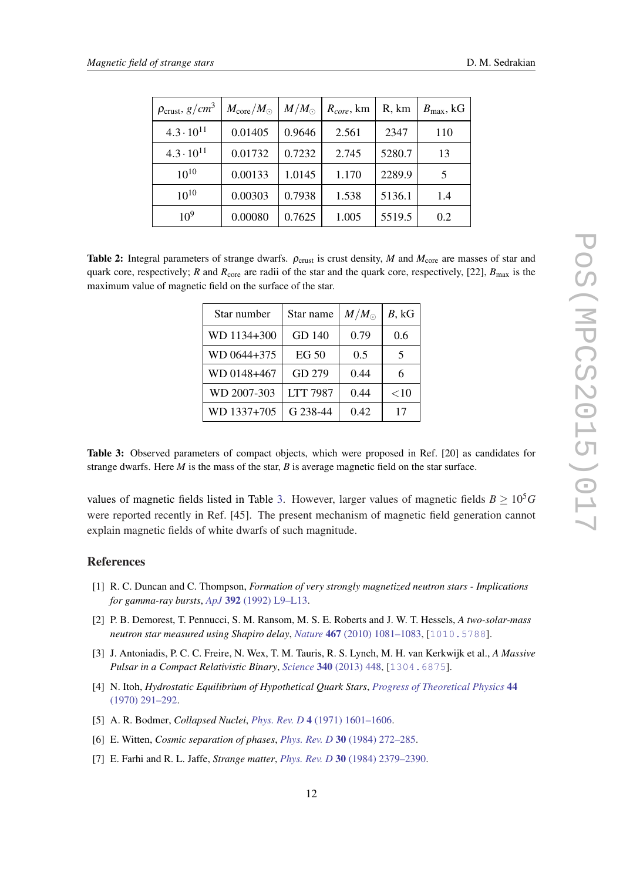<span id="page-11-0"></span>

| $\rho_{\text{crust}}, g/cm^3$ | $M_{\rm core}/M_{\odot}$ | $M/M_{\odot}$ | $R_{core}$ , km | R, km  | $B_{\text{max}}$ , kG |
|-------------------------------|--------------------------|---------------|-----------------|--------|-----------------------|
| $4.3 \cdot 10^{11}$           | 0.01405                  | 0.9646        | 2.561           | 2347   | 110                   |
| $4.3 \cdot 10^{11}$           | 0.01732                  | 0.7232        | 2.745           | 5280.7 | 13                    |
| $10^{10}$                     | 0.00133                  | 1.0145        | 1.170           | 2289.9 | 5                     |
| $10^{10}$                     | 0.00303                  | 0.7938        | 1.538           | 5136.1 | 1.4                   |
| $10^{9}$                      | 0.00080                  | 0.7625        | 1.005           | 5519.5 | 0.2                   |

Table 2: Integral parameters of strange dwarfs.  $\rho_{\text{crust}}$  is crust density, *M* and  $M_{\text{core}}$  are masses of star and quark core, respectively; *R* and  $R_{\text{core}}$  are radii of the star and the quark core, respectively, [22],  $B_{\text{max}}$  is the maximum value of magnetic field on the surface of the star.

| Star number | Star name       | $M/M_{\odot}$ | B, kG   |
|-------------|-----------------|---------------|---------|
| WD 1134+300 | GD 140          | 0.79          | 0.6     |
| WD 0644+375 | EG 50           | 0.5           | 5       |
| WD 0148+467 | GD 279          | 0.44          | 6       |
| WD 2007-303 | <b>LTT 7987</b> | 0.44          | ${<}10$ |
| WD 1337+705 | G 238-44        | 0.42          | 17      |

Table 3: Observed parameters of compact objects, which were proposed in Ref. [20] as candidates for strange dwarfs. Here *M* is the mass of the star, *B* is average magnetic field on the star surface.

values of magnetic fields listed in Table 3. However, larger values of magnetic fields  $B \geq 10^5 G$ were reported recently in Ref. [45]. The present mechanism of magnetic field generation cannot explain magnetic fields of white dwarfs of such magnitude.

### References

- [1] R. C. Duncan and C. Thompson, *Formation of very strongly magnetized neutron stars Implications for gamma-ray bursts*, *ApJ* 392 [\(1992\) L9–L13.](http://dx.doi.org/10.1086/186413)
- [2] P. B. Demorest, T. Pennucci, S. M. Ransom, M. S. E. Roberts and J. W. T. Hessels, *A two-solar-mass neutron star measured using Shapiro delay*, *Nature* 467 [\(2010\) 1081–1083,](http://dx.doi.org/10.1038/nature09466) [[1010.5788](http://arxiv.org/abs/1010.5788)].
- [3] J. Antoniadis, P. C. C. Freire, N. Wex, T. M. Tauris, R. S. Lynch, M. H. van Kerkwijk et al., *A Massive Pulsar in a Compact Relativistic Binary*, *Science* 340 [\(2013\) 448](http://dx.doi.org/10.1126/science.1233232), [[1304.6875](http://arxiv.org/abs/1304.6875)].
- [4] N. Itoh, *Hydrostatic Equilibrium of Hypothetical Quark Stars*, *[Progress of Theoretical Physics](http://dx.doi.org/10.1143/PTP.44.291)* 44 [\(1970\) 291–292](http://dx.doi.org/10.1143/PTP.44.291).
- [5] A. R. Bodmer, *Collapsed Nuclei*, *Phys. Rev. D* 4 [\(1971\) 1601–1606.](http://dx.doi.org/10.1103/PhysRevD.4.1601)
- [6] E. Witten, *Cosmic separation of phases*, *Phys. Rev. D* 30 [\(1984\) 272–285](http://dx.doi.org/10.1103/PhysRevD.30.272).
- [7] E. Farhi and R. L. Jaffe, *Strange matter*, *Phys. Rev. D* 30 [\(1984\) 2379–2390](http://dx.doi.org/10.1103/PhysRevD.30.2379).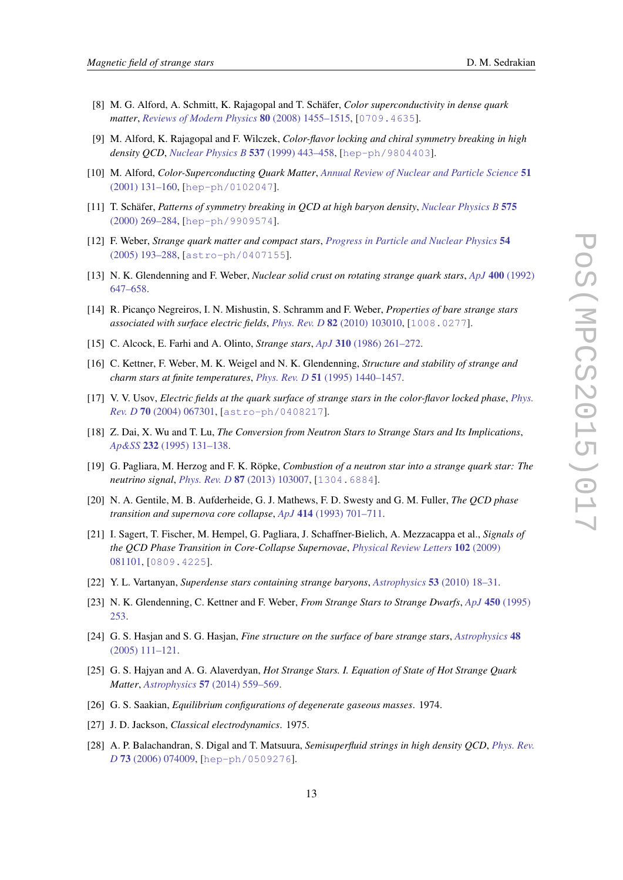- [8] M. G. Alford, A. Schmitt, K. Rajagopal and T. Schäfer, *Color superconductivity in dense quark matter*, *[Reviews of Modern Physics](http://dx.doi.org/10.1103/RevModPhys.80.1455)* 80 (2008) 1455–1515, [[0709.4635](http://arxiv.org/abs/0709.4635)].
- [9] M. Alford, K. Rajagopal and F. Wilczek, *Color-flavor locking and chiral symmetry breaking in high density QCD*, *[Nuclear Physics B](http://dx.doi.org/10.1016/S0550-3213(98)00668-3)* 537 (1999) 443–458, [[hep-ph/9804403](http://arxiv.org/abs/hep-ph/9804403)].
- [10] M. Alford, *Color-Superconducting Quark Matter*, *[Annual Review of Nuclear and Particle Science](http://dx.doi.org/10.1146/annurev.nucl.51.101701.132449)* 51 [\(2001\) 131–160](http://dx.doi.org/10.1146/annurev.nucl.51.101701.132449), [[hep-ph/0102047](http://arxiv.org/abs/hep-ph/0102047)].
- [11] T. Schäfer, *Patterns of symmetry breaking in QCD at high baryon density*, *[Nuclear Physics B](http://dx.doi.org/10.1016/S0550-3213(00)00063-8)* 575 [\(2000\) 269–284](http://dx.doi.org/10.1016/S0550-3213(00)00063-8), [[hep-ph/9909574](http://arxiv.org/abs/hep-ph/9909574)].
- [12] F. Weber, *Strange quark matter and compact stars*, *[Progress in Particle and Nuclear Physics](http://dx.doi.org/10.1016/j.ppnp.2004.07.001)* 54 [\(2005\) 193–288](http://dx.doi.org/10.1016/j.ppnp.2004.07.001), [[astro-ph/0407155](http://arxiv.org/abs/astro-ph/0407155)].
- [13] N. K. Glendenning and F. Weber, *Nuclear solid crust on rotating strange quark stars*, *ApJ* 400 [\(1992\)](http://dx.doi.org/10.1086/172026) [647–658](http://dx.doi.org/10.1086/172026).
- [14] R. Picanço Negreiros, I. N. Mishustin, S. Schramm and F. Weber, *Properties of bare strange stars associated with surface electric fields*, *Phys. Rev. D* 82 [\(2010\) 103010](http://dx.doi.org/10.1103/PhysRevD.82.103010), [[1008.0277](http://arxiv.org/abs/1008.0277)].
- [15] C. Alcock, E. Farhi and A. Olinto, *Strange stars*, *ApJ* 310 [\(1986\) 261–272.](http://dx.doi.org/10.1086/164679)
- [16] C. Kettner, F. Weber, M. K. Weigel and N. K. Glendenning, *Structure and stability of strange and charm stars at finite temperatures*, *Phys. Rev. D* 51 [\(1995\) 1440–1457](http://dx.doi.org/10.1103/PhysRevD.51.1440).
- [17] V. V. Usov, *Electric fields at the quark surface of strange stars in the color-flavor locked phase*, *[Phys.](http://dx.doi.org/10.1103/PhysRevD.70.067301) Rev. D* 70 [\(2004\) 067301](http://dx.doi.org/10.1103/PhysRevD.70.067301), [[astro-ph/0408217](http://arxiv.org/abs/astro-ph/0408217)].
- [18] Z. Dai, X. Wu and T. Lu, *The Conversion from Neutron Stars to Strange Stars and Its Implications*, *Ap&SS* 232 [\(1995\) 131–138](http://dx.doi.org/10.1007/BF00627548).
- [19] G. Pagliara, M. Herzog and F. K. Röpke, *Combustion of a neutron star into a strange quark star: The neutrino signal*, *Phys. Rev. D* 87 [\(2013\) 103007](http://dx.doi.org/10.1103/PhysRevD.87.103007), [[1304.6884](http://arxiv.org/abs/1304.6884)].
- [20] N. A. Gentile, M. B. Aufderheide, G. J. Mathews, F. D. Swesty and G. M. Fuller, *The QCD phase transition and supernova core collapse*, *ApJ* 414 [\(1993\) 701–711.](http://dx.doi.org/10.1086/173116)
- [21] I. Sagert, T. Fischer, M. Hempel, G. Pagliara, J. Schaffner-Bielich, A. Mezzacappa et al., *Signals of the QCD Phase Transition in Core-Collapse Supernovae*, *[Physical Review Letters](http://dx.doi.org/10.1103/PhysRevLett.102.081101)* 102 (2009) [081101](http://dx.doi.org/10.1103/PhysRevLett.102.081101), [[0809.4225](http://arxiv.org/abs/0809.4225)].
- [22] Y. L. Vartanyan, *Superdense stars containing strange baryons*, *Astrophysics* 53 [\(2010\) 18–31](http://dx.doi.org/10.1007/s10511-010-9095-z).
- [23] N. K. Glendenning, C. Kettner and F. Weber, *From Strange Stars to Strange Dwarfs*, *ApJ* 450 [\(1995\)](http://dx.doi.org/10.1086/176136) [253](http://dx.doi.org/10.1086/176136).
- [24] G. S. Hasjan and S. G. Hasjan, *Fine structure on the surface of bare strange stars*, *[Astrophysics](http://dx.doi.org/10.1007/s10511-005-0012-9)* 48 [\(2005\) 111–121](http://dx.doi.org/10.1007/s10511-005-0012-9).
- [25] G. S. Hajyan and A. G. Alaverdyan, *Hot Strange Stars. I. Equation of State of Hot Strange Quark Matter*, *Astrophysics* 57 [\(2014\) 559–569.](http://dx.doi.org/10.1007/s10511-014-9358-1)
- [26] G. S. Saakian, *Equilibrium configurations of degenerate gaseous masses*. 1974.
- [27] J. D. Jackson, *Classical electrodynamics*. 1975.
- [28] A. P. Balachandran, S. Digal and T. Matsuura, *Semisuperfluid strings in high density QCD*, *[Phys. Rev.](http://dx.doi.org/10.1103/PhysRevD.73.074009) D* 73 [\(2006\) 074009](http://dx.doi.org/10.1103/PhysRevD.73.074009), [[hep-ph/0509276](http://arxiv.org/abs/hep-ph/0509276)].